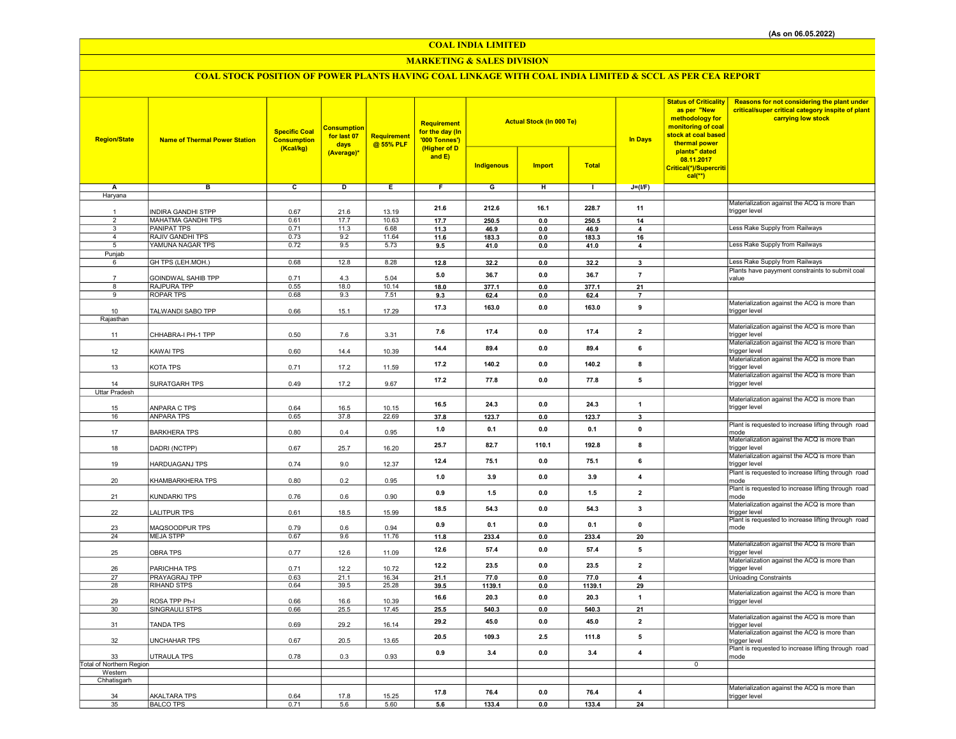## COAL INDIA LIMITED

## MARKETING & SALES DIVISION

# COAL STOCK POSITION OF POWER PLANTS HAVING COAL LINKAGE WITH COAL INDIA LIMITED & SCCL AS PER CEA REPORT

| <b>Region/State</b>            | <b>Name of Thermal Power Station</b>            | <b>Specific Coal</b><br><b>Consumption</b><br>(Kcal/kg) | <b>Consumption</b><br>for last 07<br>days<br>(Average)* | <b>Requirement</b><br>@ 55% PLF | Requirement<br>for the day (In<br>'000 Tonnes')<br>(Higher of D<br>and E) | <b>Actual Stock (In 000 Te)</b> |                       |               | <b>In Days</b>          | <b>Status of Criticality</b><br>as per "New<br>methodology for<br>monitoring of coal<br>stock at coal based<br>thermal power<br>plants" dated<br>08.11.2017 | Reasons for not considering the plant under<br>critical/super critical category inspite of plant<br>carrying low stock |
|--------------------------------|-------------------------------------------------|---------------------------------------------------------|---------------------------------------------------------|---------------------------------|---------------------------------------------------------------------------|---------------------------------|-----------------------|---------------|-------------------------|-------------------------------------------------------------------------------------------------------------------------------------------------------------|------------------------------------------------------------------------------------------------------------------------|
|                                |                                                 |                                                         |                                                         |                                 |                                                                           | <b>Indigenous</b>               | <b>Import</b>         | <b>Total</b>  |                         | Critical(*)/Supercriti<br>$cal(**)$                                                                                                                         |                                                                                                                        |
| Α                              | в                                               | c                                                       | D                                                       | Ε                               | $\overline{F}$                                                            | G                               | н                     | $\mathbf{L}$  | $J=(I/F)$               |                                                                                                                                                             |                                                                                                                        |
| Haryana                        |                                                 |                                                         |                                                         |                                 |                                                                           |                                 |                       |               |                         |                                                                                                                                                             |                                                                                                                        |
|                                |                                                 |                                                         |                                                         |                                 | 21.6                                                                      | 212.6                           | 16.1                  | 228.7         | 11                      |                                                                                                                                                             | Materialization against the ACQ is more than                                                                           |
| $\mathbf{1}$<br>$\overline{2}$ | <b>INDIRA GANDHI STPP</b>                       | 0.67                                                    | 21.6                                                    | 13.19                           |                                                                           |                                 |                       |               |                         |                                                                                                                                                             | trigger level                                                                                                          |
| $\overline{3}$                 | <b>MAHATMA GANDHI TPS</b><br><b>PANIPAT TPS</b> | 0.61<br>0.71                                            | 17.7<br>11.3                                            | 10.63<br>6.68                   | 17.7<br>11.3                                                              | 250.5<br>46.9                   | $\mathbf{0.0}$<br>0.0 | 250.5<br>46.9 | 14<br>4                 |                                                                                                                                                             | Less Rake Supply from Railways                                                                                         |
| $\overline{4}$                 | RAJIV GANDHI TPS                                | 0.73                                                    | 9.2                                                     | 11.64                           | 11.6                                                                      | 183.3                           | 0.0                   | 183.3         | 16                      |                                                                                                                                                             |                                                                                                                        |
| 5                              | YAMUNA NAGAR TPS                                | 0.72                                                    | 9.5                                                     | 5.73                            | 9.5                                                                       | 41.0                            | 0.0                   | 41.0          | $\overline{\mathbf{4}}$ |                                                                                                                                                             | Less Rake Supply from Railways                                                                                         |
| Punjab                         |                                                 |                                                         |                                                         |                                 |                                                                           |                                 |                       |               |                         |                                                                                                                                                             |                                                                                                                        |
| 6                              | GH TPS (LEH.MOH.)                               | 0.68                                                    | 12.8                                                    | 8.28                            | 12.8                                                                      | 32.2                            | $\mathbf{0.0}$        | 32.2          | $\mathbf{3}$            |                                                                                                                                                             | Less Rake Supply from Railways                                                                                         |
|                                | GOINDWAL SAHIB TPP                              | 0.71                                                    | 4.3                                                     | 5.04                            | 5.0                                                                       | 36.7                            | 0.0                   | 36.7          | $\overline{7}$          |                                                                                                                                                             | Plants have payyment constraints to submit coal<br>value                                                               |
| 8                              | RAJPURA TPP                                     | 0.55                                                    | 18.0                                                    | 10.14                           | 18.0                                                                      | 377.1                           | 0.0                   | 377.1         | 21                      |                                                                                                                                                             |                                                                                                                        |
| 9                              | <b>ROPAR TPS</b>                                | 0.68                                                    | 9.3                                                     | 7.51                            | 9.3                                                                       | 62.4                            | 0.0                   | 62.4          | $\overline{7}$          |                                                                                                                                                             |                                                                                                                        |
|                                |                                                 |                                                         |                                                         |                                 | 17.3                                                                      | 163.0                           | 0.0                   | 163.0         | 9                       |                                                                                                                                                             | Materialization against the ACQ is more than                                                                           |
| 10                             | TALWANDI SABO TPP                               | 0.66                                                    | 15.1                                                    | 17.29                           |                                                                           |                                 |                       |               |                         |                                                                                                                                                             | trigger level                                                                                                          |
| Rajasthan                      |                                                 |                                                         |                                                         |                                 |                                                                           |                                 |                       |               |                         |                                                                                                                                                             | Materialization against the ACQ is more than                                                                           |
| 11                             | CHHABRA-I PH-1 TPP                              | 0.50                                                    | 7.6                                                     | 3.31                            | 7.6                                                                       | 17.4                            | 0.0                   | 17.4          | $\overline{2}$          |                                                                                                                                                             | trigger level                                                                                                          |
|                                |                                                 |                                                         |                                                         |                                 |                                                                           | 89.4                            | 0.0                   |               | 6                       |                                                                                                                                                             | Materialization against the ACQ is more than                                                                           |
| 12                             | <b>KAWAI TPS</b>                                | 0.60                                                    | 14.4                                                    | 10.39                           | 14.4                                                                      |                                 |                       | 89.4          |                         |                                                                                                                                                             | trigger level                                                                                                          |
|                                |                                                 |                                                         |                                                         |                                 | 17.2                                                                      | 140.2                           | 0.0                   | 140.2         | 8                       |                                                                                                                                                             | Materialization against the ACQ is more than<br>trigger level                                                          |
| 13                             | KOTA TPS                                        | 0.71                                                    | 17.2                                                    | 11.59                           |                                                                           |                                 |                       |               |                         |                                                                                                                                                             | Materialization against the ACQ is more than                                                                           |
| 14                             | SURATGARH TPS                                   | 0.49                                                    | 17.2                                                    | 9.67                            | 17.2                                                                      | 77.8                            | 0.0                   | 77.8          | $\sqrt{5}$              |                                                                                                                                                             | trigger level                                                                                                          |
| <b>Uttar Pradesh</b>           |                                                 |                                                         |                                                         |                                 |                                                                           |                                 |                       |               |                         |                                                                                                                                                             |                                                                                                                        |
|                                |                                                 |                                                         |                                                         |                                 | 16.5                                                                      | 24.3                            | 0.0                   | 24.3          | $\mathbf{1}$            |                                                                                                                                                             | Materialization against the ACQ is more than                                                                           |
| 15<br>16                       | ANPARA C TPS<br><b>ANPARA TPS</b>               | 0.64<br>0.65                                            | 16.5<br>37.8                                            | 10.15<br>22.69                  |                                                                           |                                 |                       |               |                         |                                                                                                                                                             | trigger level                                                                                                          |
|                                |                                                 |                                                         |                                                         |                                 | 37.8                                                                      | 123.7                           | $0.0\,$               | 123.7         | $\overline{\mathbf{3}}$ |                                                                                                                                                             | Plant is requested to increase lifting through road                                                                    |
| 17                             | <b>BARKHERA TPS</b>                             | 0.80                                                    | 0.4                                                     | 0.95                            | 1.0                                                                       | 0.1                             | 0.0                   | 0.1           | $\mathbf 0$             |                                                                                                                                                             | mode                                                                                                                   |
|                                |                                                 |                                                         |                                                         |                                 | 25.7                                                                      | 82.7                            | 110.1                 | 192.8         | 8                       |                                                                                                                                                             | Materialization against the ACQ is more than                                                                           |
| 18                             | DADRI (NCTPP)                                   | 0.67                                                    | 25.7                                                    | 16.20                           |                                                                           |                                 |                       |               |                         |                                                                                                                                                             | trigger level                                                                                                          |
| 19                             | <b>HARDUAGANJ TPS</b>                           | 0.74                                                    | 9.0                                                     | 12.37                           | 12.4                                                                      | 75.1                            | 0.0                   | 75.1          | 6                       |                                                                                                                                                             | Materialization against the ACQ is more than<br>trigger level                                                          |
|                                |                                                 |                                                         |                                                         |                                 |                                                                           |                                 |                       |               |                         |                                                                                                                                                             | Plant is requested to increase lifting through road                                                                    |
| 20                             | KHAMBARKHERA TPS                                | 0.80                                                    | 0.2                                                     | 0.95                            | 1.0                                                                       | 3.9                             | 0.0                   | 3.9           | 4                       |                                                                                                                                                             | mode                                                                                                                   |
|                                |                                                 |                                                         |                                                         |                                 | 0.9                                                                       | $1.5$                           | 0.0                   | 1.5           | $\overline{\mathbf{2}}$ |                                                                                                                                                             | Plant is requested to increase lifting through road                                                                    |
| 21                             | KUNDARKI TPS                                    | 0.76                                                    | 0.6                                                     | 0.90                            |                                                                           |                                 |                       |               |                         |                                                                                                                                                             | mode                                                                                                                   |
| 22                             | <b>LALITPUR TPS</b>                             | 0.61                                                    | 18.5                                                    | 15.99                           | 18.5                                                                      | 54.3                            | 0.0                   | 54.3          | 3                       |                                                                                                                                                             | Materialization against the ACQ is more than<br>trigger level                                                          |
|                                |                                                 |                                                         |                                                         |                                 |                                                                           |                                 |                       |               |                         |                                                                                                                                                             | Plant is requested to increase lifting through road                                                                    |
| 23                             | MAQSOODPUR TPS                                  | 0.79                                                    | 0.6                                                     | 0.94                            | 0.9                                                                       | 0.1                             | 0.0                   | 0.1           | $\mathbf 0$             |                                                                                                                                                             | mode                                                                                                                   |
| 24                             | <b>MEJA STPP</b>                                | 0.67                                                    | 9.6                                                     | 11.76                           | 11.8                                                                      | 233.4                           | 0.0                   | 233.4         | 20                      |                                                                                                                                                             |                                                                                                                        |
| 25                             | <b>OBRA TPS</b>                                 | 0.77                                                    | 12.6                                                    | 11.09                           | 12.6                                                                      | 57.4                            | 0.0                   | 57.4          | 5                       |                                                                                                                                                             | Materialization against the ACQ is more than<br>trigger level                                                          |
|                                |                                                 |                                                         |                                                         |                                 |                                                                           |                                 |                       |               |                         |                                                                                                                                                             | Materialization against the ACQ is more than                                                                           |
| 26                             | PARICHHA TPS                                    | 0.71                                                    | 12.2                                                    | 10.72                           | 12.2                                                                      | 23.5                            | 0.0                   | 23.5          | $\overline{\mathbf{2}}$ |                                                                                                                                                             | trigger level                                                                                                          |
| 27                             | PRAYAGRAJ TPP                                   | 0.63                                                    | 21.1                                                    | 16.34                           | 21.1                                                                      | 77.0                            | 0.0                   | 77.0          | $\overline{a}$          |                                                                                                                                                             | <b>Unloading Constraints</b>                                                                                           |
| 28                             | RIHAND STPS                                     | 0.64                                                    | 39.5                                                    | 25.28                           | 39.5                                                                      | 1139.1                          | 0.0                   | 1139.1        | 29                      |                                                                                                                                                             |                                                                                                                        |
| 29                             | ROSA TPP Ph-I                                   | 0.66                                                    | 16.6                                                    | 10.39                           | 16.6                                                                      | 20.3                            | 0.0                   | 20.3          | $\overline{1}$          |                                                                                                                                                             | Materialization against the ACQ is more than<br>trigger level                                                          |
| 30                             | SINGRAULI STPS                                  | 0.66                                                    | 25.5                                                    | 17.45                           | 25.5                                                                      | 540.3                           | $0.0\,$               | 540.3         | 21                      |                                                                                                                                                             |                                                                                                                        |
|                                |                                                 |                                                         |                                                         |                                 | 29.2                                                                      | 45.0                            | 0.0                   | 45.0          | $\overline{2}$          |                                                                                                                                                             | Materialization against the ACQ is more than                                                                           |
| 31                             | <b>TANDA TPS</b>                                | 0.69                                                    | 29.2                                                    | 16.14                           |                                                                           |                                 |                       |               |                         |                                                                                                                                                             | trigger level                                                                                                          |
| 32                             | <b>UNCHAHAR TPS</b>                             | 0.67                                                    | 20.5                                                    | 13.65                           | 20.5                                                                      | 109.3                           | 2.5                   | 111.8         | 5                       |                                                                                                                                                             | Materialization against the ACQ is more than<br>trigger level                                                          |
|                                |                                                 |                                                         |                                                         |                                 |                                                                           |                                 |                       |               |                         |                                                                                                                                                             | Plant is requested to increase lifting through road                                                                    |
| 33                             | <b>UTRAULA TPS</b>                              | 0.78                                                    | 0.3                                                     | 0.93                            | 0.9                                                                       | 3.4                             | 0.0                   | 3.4           | $\overline{4}$          |                                                                                                                                                             | mode                                                                                                                   |
| Total of Northern Region       |                                                 |                                                         |                                                         |                                 |                                                                           |                                 |                       |               |                         | $\overline{0}$                                                                                                                                              |                                                                                                                        |
| Western<br>Chhatisgarh         |                                                 |                                                         |                                                         |                                 |                                                                           |                                 |                       |               |                         |                                                                                                                                                             |                                                                                                                        |
|                                |                                                 |                                                         |                                                         |                                 |                                                                           |                                 |                       |               |                         |                                                                                                                                                             | Materialization against the ACQ is more than                                                                           |
| 34                             | <b>AKALTARA TPS</b>                             | 0.64                                                    | 17.8                                                    | 15.25                           | 17.8                                                                      | 76.4                            | 0.0                   | 76.4          | 4                       |                                                                                                                                                             | trigger level                                                                                                          |
| 35                             | <b>BALCO TPS</b>                                | 0.71                                                    | 5.6                                                     | 5.60                            | 5.6                                                                       | 133.4                           | 0.0                   | 133.4         | 24                      |                                                                                                                                                             |                                                                                                                        |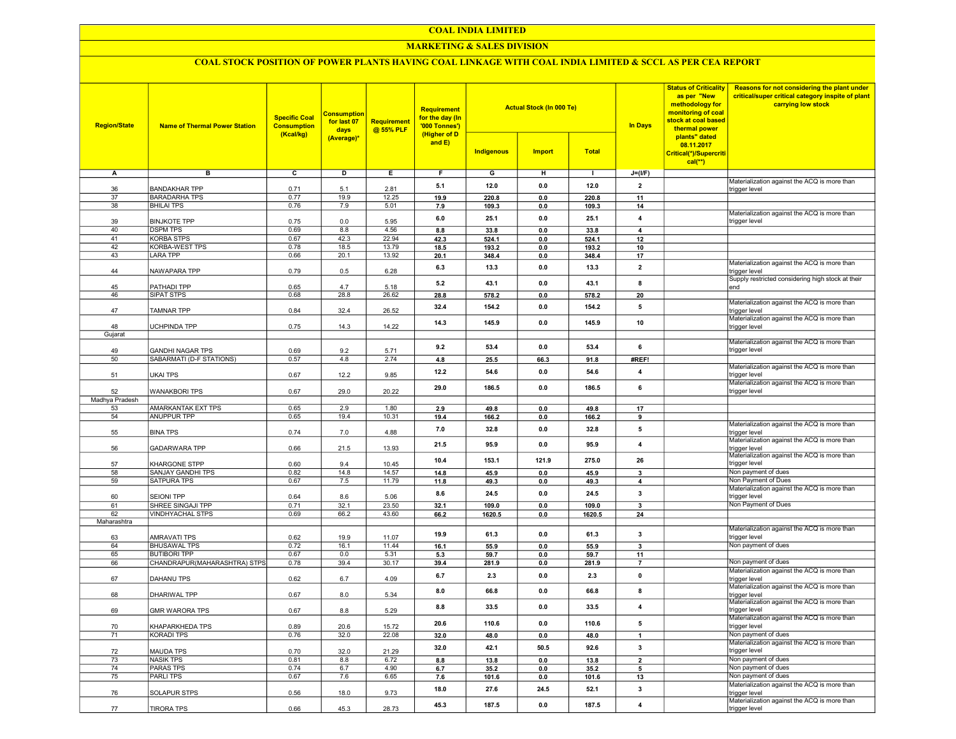#### COAL INDIA LIMITED

## MARKETING & SALES DIVISION

## COAL STOCK POSITION OF POWER PLANTS HAVING COAL LINKAGE WITH COAL INDIA LIMITED & SCCL AS PER CEA REPORT

| <b>Region/State</b>  | <b>Name of Thermal Power Station</b> | <b>Specific Coal</b><br><b>Consumption</b><br>(Kcal/kg) | <b>Consumption</b><br>for last 07<br>days<br>(Average)* | <b>Requirement</b><br>@ 55% PLF | <b>Requirement</b><br>for the day (In<br>'000 Tonnes')<br>(Higher of D<br>and E) | <b>Indigenous</b> | <b>Actual Stock (In 000 Te)</b><br><b>Import</b> | <b>Total</b>  | <b>In Days</b>          | <b>Status of Criticality</b><br>as per "New<br>methodology for<br>monitoring of coal<br>stock at coal based<br>thermal power<br>plants" dated<br>08.11.2017<br>Critical(*)/Supercriti<br>$cal$ <sup>**</sup> ) | Reasons for not considering the plant under<br>critical/super critical category inspite of plant<br>carrying low stock |
|----------------------|--------------------------------------|---------------------------------------------------------|---------------------------------------------------------|---------------------------------|----------------------------------------------------------------------------------|-------------------|--------------------------------------------------|---------------|-------------------------|----------------------------------------------------------------------------------------------------------------------------------------------------------------------------------------------------------------|------------------------------------------------------------------------------------------------------------------------|
| А                    | в                                    | $\overline{c}$                                          | D                                                       | Е.                              | F.                                                                               | G                 | н                                                | $\mathbf{I}$  | $J=(I/F)$               |                                                                                                                                                                                                                |                                                                                                                        |
|                      |                                      |                                                         |                                                         |                                 |                                                                                  |                   |                                                  |               |                         |                                                                                                                                                                                                                | Materialization against the ACQ is more than                                                                           |
| 36                   | <b>BANDAKHAR TPP</b>                 | 0.71                                                    | 5.1                                                     | 2.81                            | 5.1                                                                              | 12.0              | 0.0                                              | 12.0          | $\overline{2}$          |                                                                                                                                                                                                                | trigger level                                                                                                          |
| 37                   | <b>BARADARHA TPS</b>                 | 0.77                                                    | 19.9                                                    | 12.25                           | 19.9                                                                             | 220.8             | 0.0                                              | 220.8         | 11                      |                                                                                                                                                                                                                |                                                                                                                        |
| 38                   | <b>BHILAI TPS</b>                    | 0.76                                                    | 7.9                                                     | 5.01                            | 7.9                                                                              | 109.3             | 0.0                                              | 109.3         | 14                      |                                                                                                                                                                                                                | Materialization against the ACQ is more than                                                                           |
| 39                   | <b>BINJKOTE TPP</b>                  | 0.75                                                    | 0.0                                                     | 5.95                            | 6.0                                                                              | 25.1              | 0.0                                              | 25.1          | $\overline{\mathbf{4}}$ |                                                                                                                                                                                                                | trigger level                                                                                                          |
| 40                   | <b>DSPM TPS</b>                      | 0.69                                                    | 8.8                                                     | 4.56                            | 8.8                                                                              | 33.8              | 0.0                                              | 33.8          | $\overline{4}$          |                                                                                                                                                                                                                |                                                                                                                        |
| 41                   | <b>KORBA STPS</b>                    | 0.67                                                    | 42.3                                                    | 22.94                           | 42.3                                                                             | 524.1             | 0.0                                              | 524.1         | 12                      |                                                                                                                                                                                                                |                                                                                                                        |
| 42                   | KORBA-WEST TPS                       | 0.78                                                    | 18.5                                                    | 13.79                           | 18.5                                                                             | 193.2             | 0.0                                              | 193.2         | 10                      |                                                                                                                                                                                                                |                                                                                                                        |
| 43                   | LARA TPP                             | 0.66                                                    | 20.1                                                    | 13.92                           | 20.1                                                                             | 348.4             | 0.0                                              | 348.4         | 17                      |                                                                                                                                                                                                                |                                                                                                                        |
|                      |                                      |                                                         |                                                         |                                 | 6.3                                                                              | 13.3              | 0.0                                              | 13.3          | $\overline{2}$          |                                                                                                                                                                                                                | Materialization against the ACQ is more than                                                                           |
| 44                   | NAWAPARA TPP                         | 0.79                                                    | 0.5                                                     | 6.28                            |                                                                                  |                   |                                                  |               |                         |                                                                                                                                                                                                                | trigger level                                                                                                          |
| 45                   | PATHADI TPP                          | 0.65                                                    | 4.7                                                     | 5.18                            | 5.2                                                                              | 43.1              | 0.0                                              | 43.1          | 8                       |                                                                                                                                                                                                                | Supply restricted considering high stock at their<br>end                                                               |
| 46                   | SIPAT STPS                           | 0.68                                                    | 28.8                                                    | 26.62                           | 28.8                                                                             | 578.2             | 0.0                                              | 578.2         | 20                      |                                                                                                                                                                                                                |                                                                                                                        |
|                      |                                      |                                                         |                                                         |                                 | 32.4                                                                             |                   | 0.0                                              |               | 5                       |                                                                                                                                                                                                                | Materialization against the ACQ is more than                                                                           |
| 47                   | TAMNAR TPP                           | 0.84                                                    | 32.4                                                    | 26.52                           |                                                                                  | 154.2             |                                                  | 154.2         |                         |                                                                                                                                                                                                                | trigger level                                                                                                          |
|                      |                                      |                                                         |                                                         |                                 | 14.3                                                                             | 145.9             | 0.0                                              | 145.9         | 10                      |                                                                                                                                                                                                                | Materialization against the ACQ is more than                                                                           |
| 48<br>Gujarat        | <b>UCHPINDA TPP</b>                  | 0.75                                                    | 14.3                                                    | 14.22                           |                                                                                  |                   |                                                  |               |                         |                                                                                                                                                                                                                | trigger level                                                                                                          |
|                      |                                      |                                                         |                                                         |                                 |                                                                                  |                   |                                                  |               |                         |                                                                                                                                                                                                                | Materialization against the ACQ is more than                                                                           |
| 49                   | <b>GANDHI NAGAR TPS</b>              | 0.69                                                    | 9.2                                                     | 5.71                            | 9.2                                                                              | 53.4              | 0.0                                              | 53.4          | 6                       |                                                                                                                                                                                                                | trigger level                                                                                                          |
| 50                   | SABARMATI (D-F STATIONS)             | 0.57                                                    | 4.8                                                     | 2.74                            | 4.8                                                                              | 25.5              | 66.3                                             | 91.8          | #REF!                   |                                                                                                                                                                                                                |                                                                                                                        |
|                      |                                      |                                                         |                                                         |                                 | 12.2                                                                             | 54.6              | 0.0                                              | 54.6          | $\overline{4}$          |                                                                                                                                                                                                                | Materialization against the ACQ is more than                                                                           |
| 51                   | UKAI TPS                             | 0.67                                                    | 12.2                                                    | 9.85                            |                                                                                  |                   |                                                  |               |                         |                                                                                                                                                                                                                | trigger level                                                                                                          |
|                      |                                      |                                                         |                                                         |                                 | 29.0                                                                             | 186.5             | 0.0                                              | 186.5         | 6                       |                                                                                                                                                                                                                | Materialization against the ACQ is more than                                                                           |
| 52<br>Madhya Pradesh | <b>WANAKBORI TPS</b>                 | 0.67                                                    | 29.0                                                    | 20.22                           |                                                                                  |                   |                                                  |               |                         |                                                                                                                                                                                                                | trigger level                                                                                                          |
|                      | AMARKANTAK EXT TPS                   |                                                         | 2.9                                                     | 1.80                            |                                                                                  |                   |                                                  |               |                         |                                                                                                                                                                                                                |                                                                                                                        |
| 53<br>54             | <b>ANUPPUR TPP</b>                   | 0.65<br>0.65                                            | 19.4                                                    | 10.31                           | 2.9<br>19.4                                                                      | 49.8<br>166.2     | 0.0<br>0.0                                       | 49.8<br>166.2 | 17<br>9                 |                                                                                                                                                                                                                |                                                                                                                        |
|                      |                                      |                                                         |                                                         |                                 |                                                                                  |                   |                                                  |               |                         |                                                                                                                                                                                                                | Materialization against the ACQ is more than                                                                           |
| 55                   | <b>BINA TPS</b>                      | 0.74                                                    | 7.0                                                     | 4.88                            | 7.0                                                                              | 32.8              | 0.0                                              | 32.8          | 5                       |                                                                                                                                                                                                                | trigger level                                                                                                          |
|                      |                                      |                                                         |                                                         |                                 | 21.5                                                                             | 95.9              | 0.0                                              | 95.9          | $\overline{4}$          |                                                                                                                                                                                                                | Materialization against the ACQ is more than                                                                           |
| 56                   | GADARWARA TPP                        | 0.66                                                    | 21.5                                                    | 13.93                           |                                                                                  |                   |                                                  |               |                         |                                                                                                                                                                                                                | trigger level                                                                                                          |
|                      |                                      | 0.60                                                    | 9.4                                                     |                                 | 10.4                                                                             | 153.1             | 121.9                                            | 275.0         | 26                      |                                                                                                                                                                                                                | Materialization against the ACQ is more than<br>trigger level                                                          |
| 57<br>58             | KHARGONE STPP<br>SANJAY GANDHI TPS   | 0.82                                                    | 14.8                                                    | 10.45<br>14.57                  | 14.8                                                                             | 45.9              | 0.0                                              | 45.9          | 3                       |                                                                                                                                                                                                                | Non payment of dues                                                                                                    |
| 59                   | SATPURA TPS                          | 0.67                                                    | 7.5                                                     | 11.79                           | 11.8                                                                             | 49.3              | 0.0                                              | 49.3          | 4                       |                                                                                                                                                                                                                | Non Payment of Dues                                                                                                    |
|                      |                                      |                                                         |                                                         |                                 |                                                                                  |                   |                                                  |               |                         |                                                                                                                                                                                                                | Materialization against the ACQ is more than                                                                           |
| 60                   | <b>SEIONI TPP</b>                    | 0.64                                                    | 8.6                                                     | 5.06                            | 8.6                                                                              | 24.5              | 0.0                                              | 24.5          | 3                       |                                                                                                                                                                                                                | trigger level                                                                                                          |
| 61                   | SHREE SINGAJI TPP                    | 0.71                                                    | 32.1                                                    | 23.50                           | 32.1                                                                             | 109.0             | 0.0                                              | 109.0         | $\mathbf{3}$            |                                                                                                                                                                                                                | Non Payment of Dues                                                                                                    |
| 62                   | VINDHYACHAL STPS                     | 0.69                                                    | 66.2                                                    | 43.60                           | 66.2                                                                             | 1620.5            | 0.0                                              | 1620.5        | 24                      |                                                                                                                                                                                                                |                                                                                                                        |
| Maharashtra          |                                      |                                                         |                                                         |                                 |                                                                                  |                   |                                                  |               |                         |                                                                                                                                                                                                                |                                                                                                                        |
| 63                   | AMRAVATI TPS                         | 0.62                                                    | 19.9                                                    | 11.07                           | 19.9                                                                             | 61.3              | 0.0                                              | 61.3          | $\mathbf{3}$            |                                                                                                                                                                                                                | Materialization against the ACQ is more than<br>trigger level                                                          |
| 64                   | <b>BHUSAWAL TPS</b>                  | 0.72                                                    | 16.1                                                    | 11.44                           | 16.1                                                                             | 55.9              | 0.0                                              | 55.9          | 3                       |                                                                                                                                                                                                                | Non payment of dues                                                                                                    |
| 65                   | <b>BUTIBORI TPP</b>                  | 0.67                                                    | 0.0                                                     | 5.31                            | 5.3                                                                              | 59.7              | 0.0                                              | 59.7          | 11                      |                                                                                                                                                                                                                |                                                                                                                        |
| 66                   | CHANDRAPUR(MAHARASHTRA) STPS         | 0.78                                                    | 39.4                                                    | 30.17                           | 39.4                                                                             | 281.9             | 0.0                                              | 281.9         | $\overline{7}$          |                                                                                                                                                                                                                | Non payment of dues                                                                                                    |
|                      |                                      |                                                         |                                                         |                                 |                                                                                  | 2.3               | 0.0                                              | 2.3           | $\pmb{0}$               |                                                                                                                                                                                                                | Materialization against the ACQ is more than                                                                           |
| 67                   | <b>DAHANU TPS</b>                    | 0.62                                                    | 6.7                                                     | 4.09                            | 6.7                                                                              |                   |                                                  |               |                         |                                                                                                                                                                                                                | trigger level                                                                                                          |
|                      |                                      |                                                         |                                                         |                                 | 8.0                                                                              | 66.8              | 0.0                                              | 66.8          | 8                       |                                                                                                                                                                                                                | Materialization against the ACQ is more than                                                                           |
| 68                   | DHARIWAL TPP                         | 0.67                                                    | 8.0                                                     | 5.34                            |                                                                                  |                   |                                                  |               |                         |                                                                                                                                                                                                                | trigger level<br>Materialization against the ACQ is more than                                                          |
| 69                   | GMR WARORA TPS                       | 0.67                                                    | 8.8                                                     | 5.29                            | 8.8                                                                              | 33.5              | 0.0                                              | 33.5          | $\overline{\mathbf{4}}$ |                                                                                                                                                                                                                | trigger level                                                                                                          |
|                      |                                      |                                                         |                                                         |                                 |                                                                                  |                   |                                                  |               |                         |                                                                                                                                                                                                                | Materialization against the ACQ is more than                                                                           |
| 70                   | KHAPARKHEDA TPS                      | 0.89                                                    | 20.6                                                    | 15.72                           | 20.6                                                                             | 110.6             | 0.0                                              | 110.6         | 5                       |                                                                                                                                                                                                                | trigger level                                                                                                          |
| 71                   | KORADI TPS                           | 0.76                                                    | 32.0                                                    | 22.08                           | 32.0                                                                             | 48.0              | 0.0                                              | 48.0          | $\mathbf{1}$            |                                                                                                                                                                                                                | Non payment of dues                                                                                                    |
|                      |                                      |                                                         |                                                         |                                 | 32.0                                                                             | 42.1              | 50.5                                             | 92.6          | $\mathbf{3}$            |                                                                                                                                                                                                                | Materialization against the ACQ is more than                                                                           |
| 72                   | <b>MAUDA TPS</b>                     | 0.70                                                    | 32.0                                                    | 21.29                           |                                                                                  |                   |                                                  |               |                         |                                                                                                                                                                                                                | trigger level                                                                                                          |
| 73                   | <b>NASIK TPS</b><br><b>PARAS TPS</b> | 0.81                                                    | 8.8                                                     | 6.72                            | 8.8                                                                              | 13.8              | 0.0                                              | 13.8          | $\overline{2}$          |                                                                                                                                                                                                                | Non payment of dues<br>Non payment of dues                                                                             |
| 74                   |                                      | 0.74<br>0.67                                            | 6.7                                                     | 4.90                            | 6.7                                                                              | 35.2              | 0.0                                              | 35.2          | 5                       |                                                                                                                                                                                                                | Non payment of dues                                                                                                    |
| 75                   | PARLITPS                             |                                                         | 7.6                                                     | 6.65                            | 7.6                                                                              | 101.6             | 0.0                                              | 101.6         | 13                      |                                                                                                                                                                                                                | Materialization against the ACQ is more than                                                                           |
| 76                   | <b>SOLAPUR STPS</b>                  | 0.56                                                    | 18.0                                                    | 9.73                            | 18.0                                                                             | 27.6              | 24.5                                             | 52.1          | $\mathbf{3}$            |                                                                                                                                                                                                                | trigger level                                                                                                          |
|                      |                                      |                                                         |                                                         |                                 |                                                                                  |                   |                                                  |               |                         |                                                                                                                                                                                                                | Materialization against the ACQ is more than                                                                           |
| 77                   | <b>TIRORA TPS</b>                    | 0.66                                                    | 45.3                                                    | 28.73                           | 45.3                                                                             | 187.5             | 0.0                                              | 187.5         | $\pmb{4}$               |                                                                                                                                                                                                                | trigger level                                                                                                          |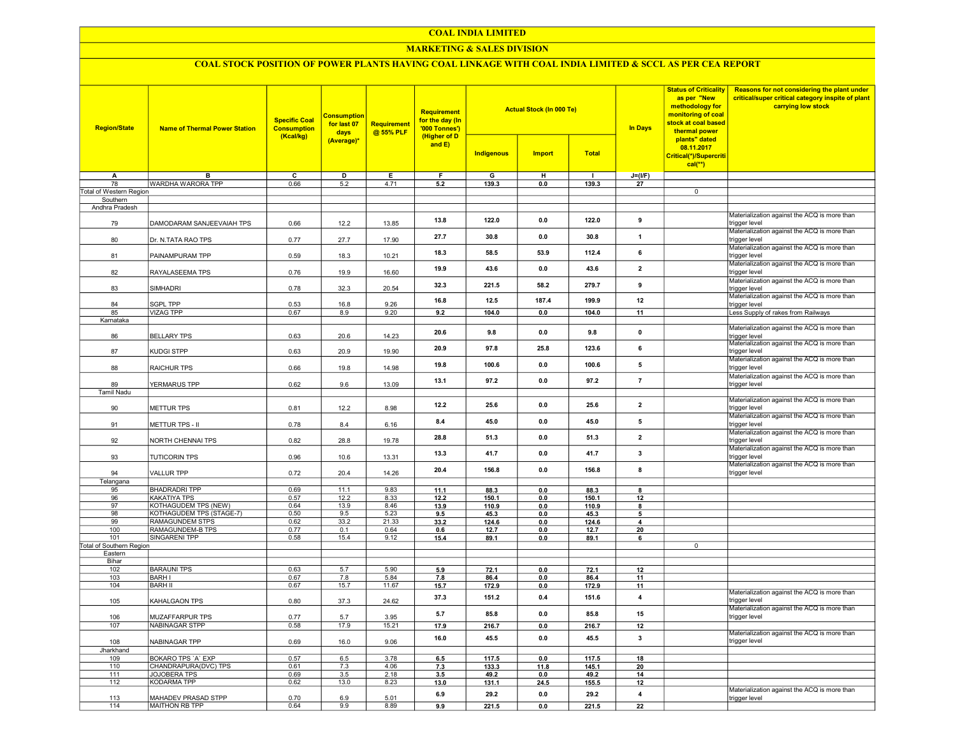#### COAL INDIA LIMITED

## MARKETING & SALES DIVISION

# COAL STOCK POSITION OF POWER PLANTS HAVING COAL LINKAGE WITH COAL INDIA LIMITED & SCCL AS PER CEA REPORT

| <b>Region/State</b>                 | <b>Name of Thermal Power Station</b>      | <b>Specific Coal</b><br><b>Consumption</b><br>(Kcal/kg) | <b>Consumption</b><br>for last 07<br>days | Requirement<br>@ 55% PLF | Requirement<br>for the day (In<br>'000 Tonnes')<br>(Higher of D |               | <b>Actual Stock (In 000 Te)</b> |               | <b>In Days</b>           | <b>Status of Criticality</b><br>as per "New<br>methodology for<br>monitoring of coal<br>stock at coal based<br>thermal power<br>plants" dated | Reasons for not considering the plant under<br>critical/super critical category inspite of plant<br>carrying low stock |
|-------------------------------------|-------------------------------------------|---------------------------------------------------------|-------------------------------------------|--------------------------|-----------------------------------------------------------------|---------------|---------------------------------|---------------|--------------------------|-----------------------------------------------------------------------------------------------------------------------------------------------|------------------------------------------------------------------------------------------------------------------------|
|                                     |                                           |                                                         | (Average)*                                |                          | and $E$ )                                                       | Indigenous    | <b>Import</b>                   | <b>Total</b>  |                          | 08.11.2017<br>Critical(*)/Supercriti<br>$cal(**)$                                                                                             |                                                                                                                        |
| A                                   | B                                         | $\overline{\mathsf{c}}$                                 | D                                         | E                        | F                                                               | G             | H                               | $\mathbf{I}$  | $J=(UF)$                 |                                                                                                                                               |                                                                                                                        |
| 78                                  | WARDHA WARORA TPP                         | 0.66                                                    | 5.2                                       | 4.71                     | 5.2                                                             | 139.3         | 0.0                             | 139.3         | 27                       | $\overline{0}$                                                                                                                                |                                                                                                                        |
| Total of Western Region<br>Southern |                                           |                                                         |                                           |                          |                                                                 |               |                                 |               |                          |                                                                                                                                               |                                                                                                                        |
| Andhra Pradesh                      |                                           |                                                         |                                           |                          |                                                                 |               |                                 |               |                          |                                                                                                                                               |                                                                                                                        |
| 79                                  | DAMODARAM SANJEEVAIAH TPS                 | 0.66                                                    | 12.2                                      | 13.85                    | 13.8                                                            | 122.0         | 0.0                             | 122.0         | 9                        |                                                                                                                                               | Materialization against the ACQ is more than<br>trigger level                                                          |
| 80                                  | Dr. N.TATA RAO TPS                        | 0.77                                                    | 27.7                                      | 17.90                    | 27.7                                                            | 30.8          | 0.0                             | 30.8          | $\mathbf{1}$             |                                                                                                                                               | Materialization against the ACQ is more than<br>trigger level                                                          |
| 81                                  | PAINAMPURAM TPP                           | 0.59                                                    | 18.3                                      | 10.21                    | 18.3                                                            | 58.5          | 53.9                            | 112.4         | 6                        |                                                                                                                                               | Materialization against the ACQ is more than<br>trigger level<br>Materialization against the ACQ is more than          |
| 82                                  | RAYALASEEMA TPS                           | 0.76                                                    | 19.9                                      | 16.60                    | 19.9                                                            | 43.6          | 0.0                             | 43.6          | $\overline{\mathbf{2}}$  |                                                                                                                                               | trigger level                                                                                                          |
| 83                                  | <b>SIMHADRI</b>                           | 0.78                                                    | 32.3                                      | 20.54                    | 32.3                                                            | 221.5         | 58.2                            | 279.7         | 9                        |                                                                                                                                               | Materialization against the ACQ is more than<br>trigger level<br>Materialization against the ACQ is more than          |
| 84                                  | <b>SGPL TPP</b>                           | 0.53                                                    | 16.8                                      | 9.26                     | 16.8                                                            | 12.5          | 187.4                           | 199.9         | 12                       |                                                                                                                                               | trigger level                                                                                                          |
| 85                                  | <b>VIZAG TPP</b>                          | 0.67                                                    | 8.9                                       | 9.20                     | 9.2                                                             | 104.0         | 0.0                             | 104.0         | 11                       |                                                                                                                                               | Less Supply of rakes from Railways                                                                                     |
| Karnataka                           |                                           |                                                         |                                           |                          |                                                                 |               |                                 |               |                          |                                                                                                                                               | Materialization against the ACQ is more than                                                                           |
| 86                                  | <b>BELLARY TPS</b>                        | 0.63                                                    | 20.6                                      | 14.23                    | 20.6                                                            | 9.8           | 0.0                             | 9.8           | 0                        |                                                                                                                                               | trigger level<br>Materialization against the ACQ is more than                                                          |
| 87                                  | <b>KUDGI STPP</b>                         | 0.63                                                    | 20.9                                      | 19.90                    | 20.9                                                            | 97.8          | 25.8                            | 123.6         | 6                        |                                                                                                                                               | trigger level<br>Materialization against the ACQ is more than                                                          |
| 88                                  | <b>RAICHUR TPS</b>                        | 0.66                                                    | 19.8                                      | 14.98                    | 19.8                                                            | 100.6         | 0.0                             | 100.6         | 5                        |                                                                                                                                               | trigger level<br>Materialization against the ACQ is more than                                                          |
| 89<br>Tamil Nadu                    | YERMARUS TPP                              | 0.62                                                    | 9.6                                       | 13.09                    | 13.1                                                            | 97.2          | 0.0                             | 97.2          | $\overline{7}$           |                                                                                                                                               | trigger level                                                                                                          |
|                                     |                                           |                                                         |                                           |                          |                                                                 |               |                                 |               |                          |                                                                                                                                               | Materialization against the ACQ is more than                                                                           |
| 90                                  | <b>METTUR TPS</b>                         | 0.81                                                    | 12.2                                      | 8.98                     | 12.2                                                            | 25.6          | 0.0                             | 25.6          | $\overline{\mathbf{z}}$  |                                                                                                                                               | trigger level<br>Materialization against the ACQ is more than                                                          |
| 91                                  | METTUR TPS - II                           | 0.78                                                    | 8.4                                       | 6.16                     | 8.4                                                             | 45.0          | 0.0                             | 45.0          | 5                        |                                                                                                                                               | trigger level                                                                                                          |
| 92                                  | NORTH CHENNAI TPS                         | 0.82                                                    | 28.8                                      | 19.78                    | 28.8                                                            | 51.3          | 0.0                             | 51.3          | $\overline{\mathbf{2}}$  |                                                                                                                                               | Materialization against the ACQ is more than<br>trigger level                                                          |
| 93                                  | <b>TUTICORIN TPS</b>                      | 0.96                                                    | 10.6                                      | 13.31                    | 13.3                                                            | 41.7          | 0.0                             | 41.7          | 3                        |                                                                                                                                               | Materialization against the ACQ is more than<br>trigger level                                                          |
| 94                                  | <b>VALLUR TPP</b>                         | 0.72                                                    | 20.4                                      | 14.26                    | 20.4                                                            | 156.8         | 0.0                             | 156.8         | 8                        |                                                                                                                                               | Materialization against the ACQ is more than<br>trigger level                                                          |
| Telangana                           |                                           |                                                         |                                           |                          |                                                                 |               |                                 |               |                          |                                                                                                                                               |                                                                                                                        |
| 95<br>96                            | <b>BHADRADRI TPP</b><br>KAKATIYA TPS      | 0.69<br>0.57                                            | 11.1<br>12.2                              | 9.83<br>8.33             | 11.1<br>12.2                                                    | 88.3<br>150.1 | 0.0<br>0.0                      | 88.3<br>150.1 | 8<br>12                  |                                                                                                                                               |                                                                                                                        |
| 97                                  | <b>KOTHAGUDEM TPS (NEW)</b>               | 0.64                                                    | 13.9                                      | 8.46                     | 13.9                                                            | 110.9         | 0.0                             | 110.9         | 8                        |                                                                                                                                               |                                                                                                                        |
| 98                                  | KOTHAGUDEM TPS (STAGE-7)                  | 0.50                                                    | 9.5                                       | 5.23                     | 9.5                                                             | 45.3          | 0.0                             | 45.3          | $\overline{\phantom{a}}$ |                                                                                                                                               |                                                                                                                        |
| 99                                  | <b>RAMAGUNDEM STPS</b>                    | 0.62                                                    | 33.2                                      | 21.33                    | 33.2                                                            | 124.6         | 0.0                             | 124.6         | 4                        |                                                                                                                                               |                                                                                                                        |
| 100                                 | RAMAGUNDEM-B TPS                          | 0.77                                                    | 0.1                                       | 0.64                     | 0.6                                                             | 12.7          | 0.0                             | 12.7          | 20                       |                                                                                                                                               |                                                                                                                        |
| 101                                 | <b>SINGARENI TPP</b>                      | 0.58                                                    | 15.4                                      | 9.12                     | 15.4                                                            | 89.1          | 0.0                             | 89.1          | 6                        |                                                                                                                                               |                                                                                                                        |
| Total of Southern Region            |                                           |                                                         |                                           |                          |                                                                 |               |                                 |               |                          | $\overline{0}$                                                                                                                                |                                                                                                                        |
| Eastern                             |                                           |                                                         |                                           |                          |                                                                 |               |                                 |               |                          |                                                                                                                                               |                                                                                                                        |
| Bihar                               |                                           |                                                         |                                           |                          |                                                                 |               |                                 |               |                          |                                                                                                                                               |                                                                                                                        |
| 102                                 | <b>BARAUNI TPS</b>                        | 0.63                                                    | 5.7                                       | 5.90                     | 5.9                                                             | 72.1          | 0.0                             | 72.1          | 12                       |                                                                                                                                               |                                                                                                                        |
| 103                                 | <b>BARH I</b>                             | 0.67                                                    | 7.8                                       | 5.84                     | 7.8                                                             | 86.4          | 0.0                             | 86.4          | 11                       |                                                                                                                                               |                                                                                                                        |
| 104                                 | <b>BARH II</b>                            | 0.67                                                    | 15.7                                      | 11.67                    | 15.7                                                            | 172.9         | 0.0                             | 172.9         | 11                       |                                                                                                                                               | Materialization against the ACQ is more than                                                                           |
| 105                                 | KAHALGAON TPS                             | 0.80                                                    | 37.3                                      | 24.62                    | 37.3                                                            | 151.2         | 0.4                             | 151.6         | $\overline{\mathbf{4}}$  |                                                                                                                                               | trigger level                                                                                                          |
| 106                                 | MUZAFFARPUR TPS                           | 0.77                                                    | 5.7                                       | 3.95                     | 5.7                                                             | 85.8          | 0.0                             | 85.8          | 15                       |                                                                                                                                               | Materialization against the ACQ is more than<br>trigger level                                                          |
| 107                                 | <b>NABINAGAR STPP</b>                     | 0.58                                                    | 17.9                                      | 15.21                    | 17.9                                                            | 216.7         | 0.0                             | 216.7         | 12                       |                                                                                                                                               | Materialization against the ACQ is more than                                                                           |
| 108                                 | NABINAGAR TPP                             | 0.69                                                    | 16.0                                      | 9.06                     | 16.0                                                            | 45.5          | 0.0                             | 45.5          | 3                        |                                                                                                                                               | trigger level                                                                                                          |
| Jharkhand<br>109                    | BOKARO TPS 'A' EXP                        | 0.57                                                    | 6.5                                       | 3.78                     |                                                                 | 117.5         | 0.0                             | 117.5         | 18                       |                                                                                                                                               |                                                                                                                        |
|                                     | CHANDRAPURA(DVC) TPS                      |                                                         | 7.3                                       | 4.06                     | 6.5                                                             |               |                                 |               |                          |                                                                                                                                               |                                                                                                                        |
| 110                                 |                                           | 0.61                                                    |                                           |                          | 7.3                                                             | 133.3         | 11.8                            | 145.1         | 20                       |                                                                                                                                               |                                                                                                                        |
| 111<br>112                          | <b>JOJOBERA TPS</b><br><b>KODARMA TPP</b> | 0.69<br>0.62                                            | 3.5<br>13.0                               | 2.18<br>8.23             | 3.5<br>13.0                                                     | 49.2<br>131.1 | 0.0<br>24.5                     | 49.2<br>155.5 | 14<br>12                 |                                                                                                                                               |                                                                                                                        |
| 113                                 | MAHADEV PRASAD STPP                       | 0.70                                                    | 6.9                                       | 5.01                     | 6.9                                                             | 29.2          | 0.0                             | 29.2          | 4                        |                                                                                                                                               | Materialization against the ACQ is more than<br>trigger level                                                          |
| 114                                 | MAITHON RB TPP                            | 0.64                                                    | 9.9                                       | 8.89                     | 9.9                                                             | 221.5         | 0.0                             | 221.5         | 22                       |                                                                                                                                               |                                                                                                                        |
|                                     |                                           |                                                         |                                           |                          |                                                                 |               |                                 |               |                          |                                                                                                                                               |                                                                                                                        |